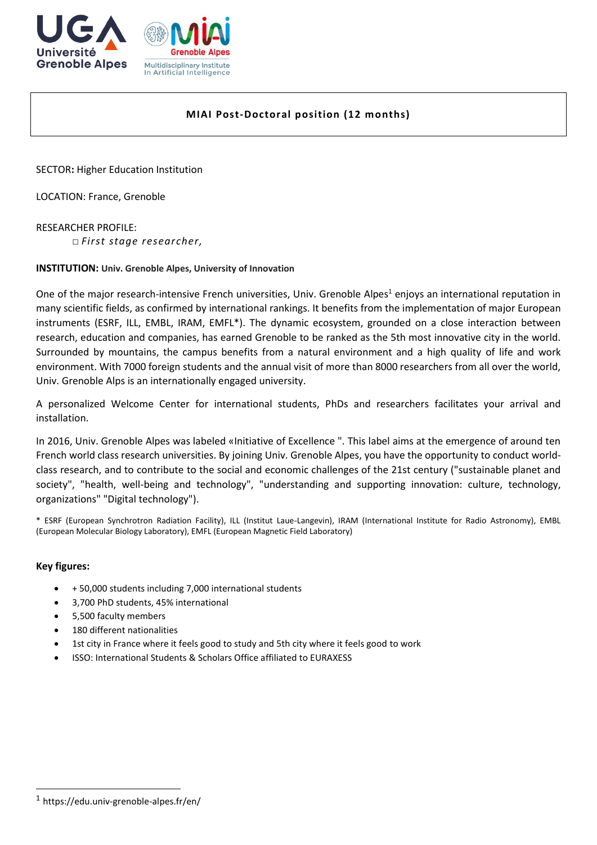



# **MIAI Post-Doctoral position (12 months)**

SECTOR**:** Higher Education Institution

LOCATION: France, Grenoble

RESEARCHER PROFILE: □ *First stage researcher,*

## **INSTITUTION: Univ. Grenoble Alpes, University of Innovation**

One of the major research-intensive French universities, Univ. Grenoble Alpes<sup>1</sup> enjoys an international reputation in many scientific fields, as confirmed by international rankings. It benefits from the implementation of major European instruments (ESRF, ILL, EMBL, IRAM, EMFL\*). The dynamic ecosystem, grounded on a close interaction between research, education and companies, has earned Grenoble to be ranked as the 5th most innovative city in the world. Surrounded by mountains, the campus benefits from a natural environment and a high quality of life and work environment. With 7000 foreign students and the annual visit of more than 8000 researchers from all over the world, Univ. Grenoble Alps is an internationally engaged university.

A personalized Welcome Center for international students, PhDs and researchers facilitates your arrival and installation.

In 2016, Univ. Grenoble Alpes was labeled «Initiative of Excellence ". This label aims at the emergence of around ten French world class research universities. By joining Univ. Grenoble Alpes, you have the opportunity to conduct worldclass research, and to contribute to the social and economic challenges of the 21st century ("sustainable planet and society", "health, well-being and technology", "understanding and supporting innovation: culture, technology, organizations" "Digital technology").

\* ESRF (European Synchrotron Radiation Facility), ILL (Institut Laue-Langevin), IRAM (International Institute for Radio Astronomy), EMBL (European Molecular Biology Laboratory), EMFL (European Magnetic Field Laboratory)

### **Key figures:**

1

- + 50,000 students including 7,000 international students
- 3,700 PhD students, 45% international
- 5,500 faculty members
- 180 different nationalities
- 1st city in France where it feels good to study and 5th city where it feels good to work
- ISSO: International Students & Scholars Office affiliated to EURAXESS

<sup>1</sup> https://edu.univ-grenoble-alpes.fr/en/